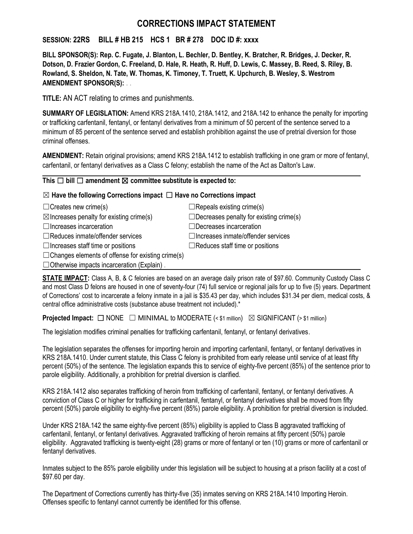# **CORRECTIONS IMPACT STATEMENT**

# **SESSION: 22RS BILL # HB 215 HCS 1 BR # 278 DOC ID #: xxxx**

**BILL SPONSOR(S): Rep. C. Fugate, J. Blanton, L. Bechler, D. Bentley, K. Bratcher, R. Bridges, J. Decker, R. Dotson, D. Frazier Gordon, C. Freeland, D. Hale, R. Heath, R. Huff, D. Lewis, C. Massey, B. Reed, S. Riley, B. Rowland, S. Sheldon, N. Tate, W. Thomas, K. Timoney, T. Truett, K. Upchurch, B. Wesley, S. Westrom AMENDMENT SPONSOR(S):** . .

**TITLE:** AN ACT relating to crimes and punishments.

**SUMMARY OF LEGISLATION:** Amend KRS 218A.1410, 218A.1412, and 218A.142 to enhance the penalty for importing or trafficking carfentanil, fentanyl, or fentanyl derivatives from a minimum of 50 percent of the sentence served to a minimum of 85 percent of the sentence served and establish prohibition against the use of pretrial diversion for those criminal offenses.

**AMENDMENT:** Retain original provisions; amend KRS 218A.1412 to establish trafficking in one gram or more of fentanyl, carfentanil, or fentanyl derivatives as a Class C felony; establish the name of the Act as Dalton's Law.

### **This** ☐ **bill** ☐ **amendment** ☒ **committee substitute is expected to:**

## ☒ **Have the following Corrections impact** ☐ **Have no Corrections impact**

| $\Box$ Creates new crime(s)                              | $\Box$ Repeals existing crime(s)               |
|----------------------------------------------------------|------------------------------------------------|
| $\boxtimes$ Increases penalty for existing crime(s)      | $\Box$ Decreases penalty for existing crime(s) |
| $\Box$ Increases incarceration                           | $\Box$ Decreases incarceration                 |
| $\Box$ Reduces inmate/offender services                  | $\Box$ Increases inmate/offender services      |
| $\Box$ Increases staff time or positions                 | $\Box$ Reduces staff time or positions         |
| $\Box$ Changes elements of offense for existing crime(s) |                                                |
| $\Box$ Otherwise impacts incarceration (Explain).        |                                                |

**STATE IMPACT:** Class A, B, & C felonies are based on an average daily prison rate of \$97.60. Community Custody Class C and most Class D felons are housed in one of seventy-four (74) full service or regional jails for up to five (5) years. Department of Corrections' cost to incarcerate a felony inmate in a jail is \$35.43 per day, which includes \$31.34 per diem, medical costs, & central office administrative costs (substance abuse treatment not included).\*

**Projected Impact:**  $\Box$  NONE  $\Box$  MINIMAL to MODERATE (< \$1 million)  $\boxtimes$  SIGNIFICANT (> \$1 million)

The legislation modifies criminal penalties for trafficking carfentanil, fentanyl, or fentanyl derivatives.

The legislation separates the offenses for importing heroin and importing carfentanil, fentanyl, or fentanyl derivatives in KRS 218A.1410. Under current statute, this Class C felony is prohibited from early release until service of at least fifty percent (50%) of the sentence. The legislation expands this to service of eighty-five percent (85%) of the sentence prior to parole eligibility. Additionally, a prohibition for pretrial diversion is clarified.

KRS 218A.1412 also separates trafficking of heroin from trafficking of carfentanil, fentanyl, or fentanyl derivatives. A conviction of Class C or higher for trafficking in carfentanil, fentanyl, or fentanyl derivatives shall be moved from fifty percent (50%) parole eligibility to eighty-five percent (85%) parole eligibility. A prohibition for pretrial diversion is included.

Under KRS 218A.142 the same eighty-five percent (85%) eligibility is applied to Class B aggravated trafficking of carfentanil, fentanyl, or fentanyl derivatives. Aggravated trafficking of heroin remains at fifty percent (50%) parole eligibility. Aggravated trafficking is twenty-eight (28) grams or more of fentanyl or ten (10) grams or more of carfentanil or fentanyl derivatives.

Inmates subject to the 85% parole eligibility under this legislation will be subject to housing at a prison facility at a cost of \$97.60 per day.

The Department of Corrections currently has thirty-five (35) inmates serving on KRS 218A.1410 Importing Heroin. Offenses specific to fentanyl cannot currently be identified for this offense.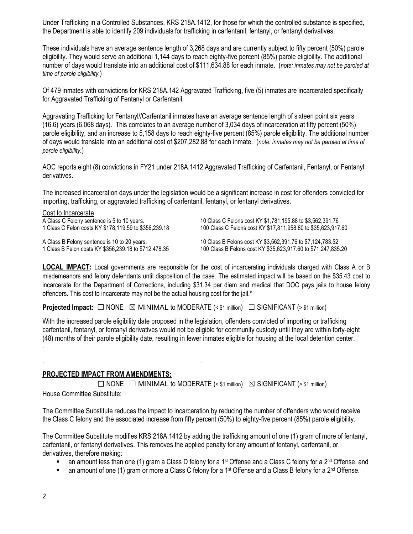Under Trafficking in a Controlled Substances, KRS 218A.1412, for those for which the controlled substance is specified, the Department is able to identify 209 individuals for trafficking in carfentanil, fentanyl, or fentanyl derivatives.

These individuals have an average sentence length of 3,268 days and are currently subject to fifty percent (50%) parole eligibility. They would serve an additional 1,144 days to reach eighty-five percent (85%) parole eligibility. The additional number of days would translate into an additional cost of \$111,634.88 for each inmate. (*note: inmates may not be paroled at time of parole eligibility.*)

Of 479 inmates with convictions for KRS 218A.142 Aggravated Trafficking, five (5) inmates are incarcerated specifically for Aggravated Trafficking of Fentanyl or Carfentanil.

Aggravating Trafficking for Fentanyl//Carfentanil inmates have an average sentence length of sixteen point six years (16.6) years (6,068 days). This correlates to an average number of 3,034 days of incarceration at fifty percent (50%) parole eligibility, and an increase to 5,158 days to reach eighty-five percent (85%) parole eligibility. The additional number of days would translate into an additional cost of \$207,282.88 for each inmate. (*note: inmates may not be paroled at time of parole eligibility.*)

AOC reports eight (8) convictions in FY21 under 218A.1412 Aggravated Trafficking of Carfentanil, Fentanyl, or Fentanyl derivatives.

The increased incarceration days under the legislation would be a significant increase in cost for offenders convicted for importing, trafficking, or aggravated trafficking of carfentanil, fentanyl, or fentanyl derivatives.

| Cost to Incarcerate<br>A Class C Felony sentence is 5 to 10 years.<br>1 Class C Felon costs KY \$178,119.59 to \$356,239.18 | 10 Class C Felons cost KY \$1,781,195.88 to \$3,562,391.76<br>100 Class C Felons cost KY \$17,811,958.80 to \$35,623,917.60 |
|-----------------------------------------------------------------------------------------------------------------------------|-----------------------------------------------------------------------------------------------------------------------------|
| A Class B Felony sentence is 10 to 20 years.                                                                                | 10 Class B Felons cost KY \$3,562,391.76 to \$7,124,783.52                                                                  |
| 1 Class B Felon costs KY \$356,239.18 to \$712,478.35                                                                       | 100 Class B Felons cost KY \$35,623,917.60 to \$71,247,835.20                                                               |

**LOCAL IMPACT:** Local governments are responsible for the cost of incarcerating individuals charged with Class A or B misdemeanors and felony defendants until disposition of the case. The estimated impact will be based on the \$35.43 cost to incarcerate for the Department of Corrections, including \$31.34 per diem and medical that DOC pays jails to house felony offenders. This cost to incarcerate may not be the actual housing cost for the jail.\*

**Projected Impact:**  $\Box$  NONE  $\boxtimes$  MINIMAL to MODERATE (< \$1 million)  $\Box$  SIGNIFICANT (> \$1 million)

With the increased parole eligibility date proposed in the legislation, offenders convicted of importing or trafficking carfentanil, fentanyl, or fentanyl derivatives would not be eligible for community custody until they are within forty-eight (48) months of their parole eligibility date, resulting in fewer inmates eligible for housing at the local detention center.

#### **PROJECTED IMPACT FROM AMENDMENTS:**

. . . .

 $\Box$  NONE  $\Box$  MINIMAL to MODERATE (< \$1 million)  $\boxtimes$  SIGNIFICANT (> \$1 million) House Committee Substitute:

The Committee Substitute reduces the impact to incarceration by reducing the number of offenders who would receive the Class C felony and the associated increase from fifty percent (50%) to eighty-five percent (85%) parole eligibility.

The Committee Substitute modifies KRS 218A.1412 by adding the trafficking amount of one (1) gram of more of fentanyl, carfentanil, or fentanyl derivatives. This removes the applied penalty for any amount of fentanyl, carfentanil, or derivatives, therefore making:

- **a** an amount less than one (1) gram a Class D felony for a 1<sup>st</sup> Offense and a Class C felony for a 2<sup>nd</sup> Offense, and
- **an amount of one (1) gram or more a Class C felony for a 1st Offense and a Class B felony for a 2<sup>nd</sup> Offense.**

.